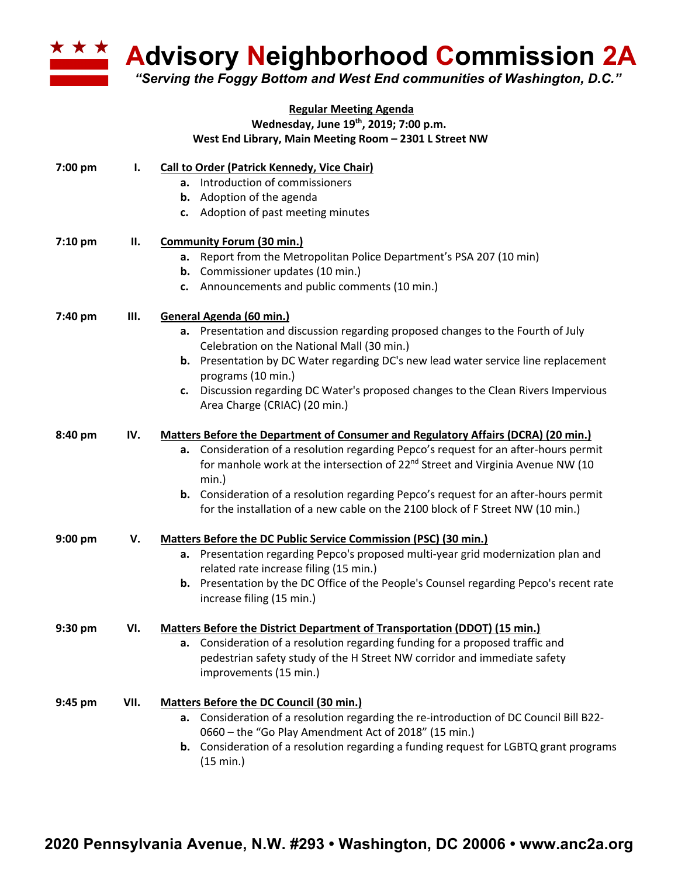

**Advisory Neighborhood Commission 2A** 

*"Serving the Foggy Bottom and West End communities of Washington, D.C."*

## **Regular Meeting Agenda Wednesday, June 19th, 2019; 7:00 p.m. West End Library, Main Meeting Room – 2301 L Street NW**

| 7:00 pm   | I.   | <b>Call to Order (Patrick Kennedy, Vice Chair)</b><br>a. Introduction of commissioners        |
|-----------|------|-----------------------------------------------------------------------------------------------|
|           |      |                                                                                               |
|           |      | <b>b.</b> Adoption of the agenda                                                              |
|           |      | c. Adoption of past meeting minutes                                                           |
| 7:10 pm   | П.   | <b>Community Forum (30 min.)</b>                                                              |
|           |      | Report from the Metropolitan Police Department's PSA 207 (10 min)<br>а.                       |
|           |      | <b>b.</b> Commissioner updates (10 min.)                                                      |
|           |      | c. Announcements and public comments (10 min.)                                                |
| 7:40 pm   | Ш.   | General Agenda (60 min.)                                                                      |
|           |      | a. Presentation and discussion regarding proposed changes to the Fourth of July               |
|           |      | Celebration on the National Mall (30 min.)                                                    |
|           |      | b. Presentation by DC Water regarding DC's new lead water service line replacement            |
|           |      | programs (10 min.)                                                                            |
|           |      | Discussion regarding DC Water's proposed changes to the Clean Rivers Impervious<br>c.         |
|           |      | Area Charge (CRIAC) (20 min.)                                                                 |
| 8:40 pm   | IV.  | <b>Matters Before the Department of Consumer and Regulatory Affairs (DCRA) (20 min.)</b>      |
|           |      | Consideration of a resolution regarding Pepco's request for an after-hours permit<br>а.       |
|           |      | for manhole work at the intersection of 22 <sup>nd</sup> Street and Virginia Avenue NW (10    |
|           |      | min.)                                                                                         |
|           |      | <b>b.</b> Consideration of a resolution regarding Pepco's request for an after-hours permit   |
|           |      | for the installation of a new cable on the 2100 block of F Street NW (10 min.)                |
| 9:00 pm   | V.   | <b>Matters Before the DC Public Service Commission (PSC) (30 min.)</b>                        |
|           |      | a. Presentation regarding Pepco's proposed multi-year grid modernization plan and             |
|           |      | related rate increase filing (15 min.)                                                        |
|           |      | <b>b.</b> Presentation by the DC Office of the People's Counsel regarding Pepco's recent rate |
|           |      | increase filing (15 min.)                                                                     |
| $9:30$ pm | VI.  | Matters Before the District Department of Transportation (DDOT) (15 min.)                     |
|           |      | a. Consideration of a resolution regarding funding for a proposed traffic and                 |
|           |      | pedestrian safety study of the H Street NW corridor and immediate safety                      |
|           |      | improvements (15 min.)                                                                        |
| 9:45 pm   | VII. | <b>Matters Before the DC Council (30 min.)</b>                                                |
|           |      | a. Consideration of a resolution regarding the re-introduction of DC Council Bill B22-        |
|           |      | 0660 - the "Go Play Amendment Act of 2018" (15 min.)                                          |
|           |      | <b>b.</b> Consideration of a resolution regarding a funding request for LGBTQ grant programs  |
|           |      | (15 min.)                                                                                     |